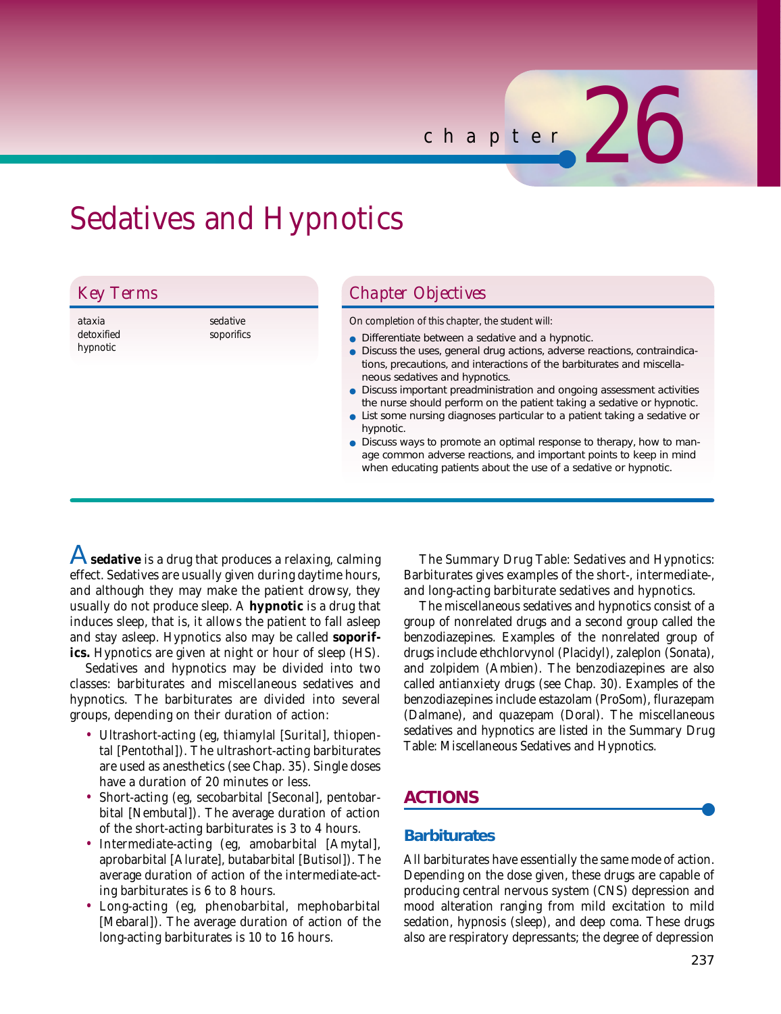# *chapter* 26

# Sedatives and Hypnotics

*ataxia detoxified hypnotic*

*sedative soporifics*

## *Key Terms Chapter Objectives*

*On completion of this chapter, the student will:*

- Differentiate between a sedative and a hypnotic.
- Discuss the uses, general drug actions, adverse reactions, contraindications, precautions, and interactions of the barbiturates and miscellaneous sedatives and hypnotics.
- Discuss important preadministration and ongoing assessment activities the nurse should perform on the patient taking a sedative or hypnotic.
- List some nursing diagnoses particular to a patient taking a sedative or hypnotic.
- Discuss ways to promote an optimal response to therapy, how to manage common adverse reactions, and important points to keep in mind when educating patients about the use of a sedative or hypnotic.

A**sedative** is a drug that produces a relaxing, calming effect. Sedatives are usually given during daytime hours, and although they may make the patient drowsy, they usually do not produce sleep. A **hypnotic** is a drug that induces sleep, that is, it allows the patient to fall asleep and stay asleep. Hypnotics also may be called **soporifics.** Hypnotics are given at night or hour of sleep (HS).

Sedatives and hypnotics may be divided into two classes: barbiturates and miscellaneous sedatives and hypnotics. The barbiturates are divided into several groups, depending on their duration of action:

- Ultrashort-acting (eg, thiamylal [Surital], thiopental [Pentothal]). The ultrashort-acting barbiturates are used as anesthetics (see Chap. 35). Single doses have a duration of 20 minutes or less.
- Short-acting (eg, secobarbital [Seconal], pentobarbital [Nembutal]). The average duration of action of the short-acting barbiturates is 3 to 4 hours.
- Intermediate-acting (eg, amobarbital [Amytal], aprobarbital [Alurate], butabarbital [Butisol]). The average duration of action of the intermediate-acting barbiturates is 6 to 8 hours.
- Long-acting (eg, phenobarbital, mephobarbital [Mebaral]). The average duration of action of the long-acting barbiturates is 10 to 16 hours.

The Summary Drug Table: Sedatives and Hypnotics: Barbiturates gives examples of the short-, intermediate-, and long-acting barbiturate sedatives and hypnotics.

The miscellaneous sedatives and hypnotics consist of a group of nonrelated drugs and a second group called the benzodiazepines. Examples of the nonrelated group of drugs include ethchlorvynol (Placidyl), zaleplon (Sonata), and zolpidem (Ambien). The benzodiazepines are also called antianxiety drugs (see Chap. 30). Examples of the benzodiazepines include estazolam (ProSom), flurazepam (Dalmane), and quazepam (Doral). The miscellaneous sedatives and hypnotics are listed in the Summary Drug Table: Miscellaneous Sedatives and Hypnotics.

### **ACTIONS** ●

#### **Barbiturates**

All barbiturates have essentially the same mode of action. Depending on the dose given, these drugs are capable of producing central nervous system (CNS) depression and mood alteration ranging from mild excitation to mild sedation, hypnosis (sleep), and deep coma. These drugs also are respiratory depressants; the degree of depression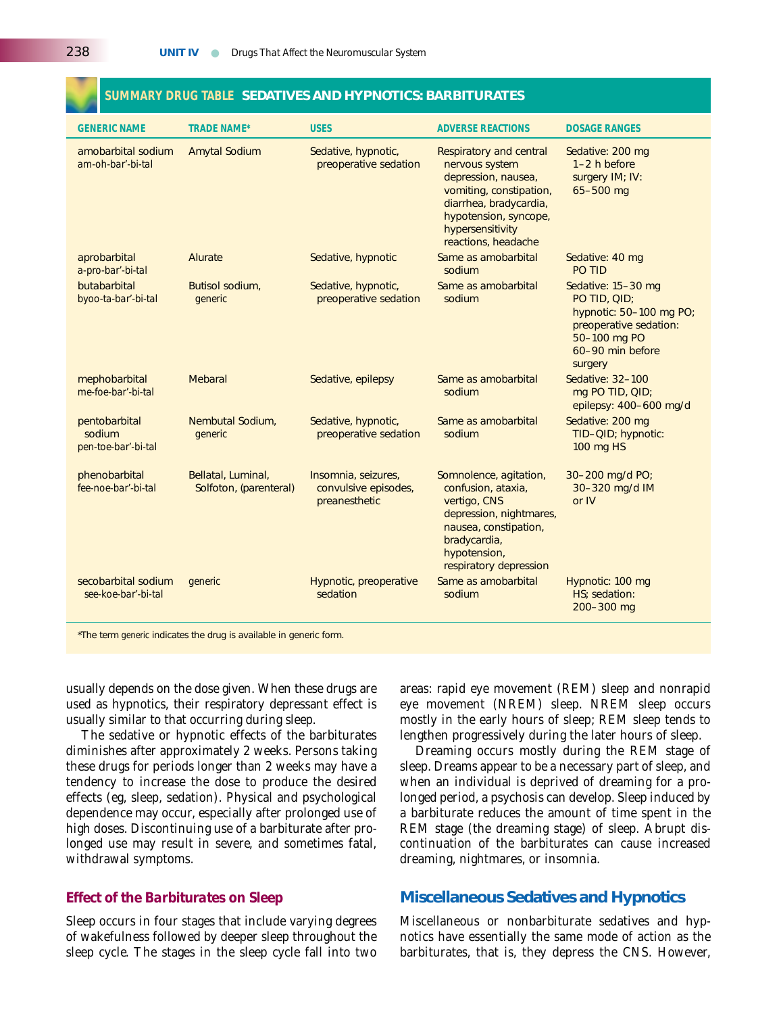| <b>GENERIC NAME</b>                                                | <b>TRADE NAME*</b>                           | <b>USES</b>                                                  | <b>ADVERSE REACTIONS</b>                                                                                                                                                                         | <b>DOSAGE RANGES</b>                                                                                                                   |  |  |
|--------------------------------------------------------------------|----------------------------------------------|--------------------------------------------------------------|--------------------------------------------------------------------------------------------------------------------------------------------------------------------------------------------------|----------------------------------------------------------------------------------------------------------------------------------------|--|--|
| amobarbital sodium<br>am-oh-bar'-bi-tal                            | <b>Amytal Sodium</b>                         | Sedative, hypnotic,<br>preoperative sedation                 | <b>Respiratory and central</b><br>nervous system<br>depression, nausea,<br>vomiting, constipation,<br>diarrhea, bradycardia,<br>hypotension, syncope,<br>hypersensitivity<br>reactions, headache | Sedative: 200 mg<br>1-2 h before<br>surgery IM; IV:<br>65-500 mg                                                                       |  |  |
| aprobarbital<br>a-pro-bar'-bi-tal                                  | Alurate                                      | Sedative, hypnotic                                           | Same as amobarbital<br>sodium                                                                                                                                                                    | Sedative: 40 mg<br>PO TID                                                                                                              |  |  |
| butabarbital<br>byoo-ta-bar'-bi-tal                                | Butisol sodium,<br>generic                   | Sedative, hypnotic,<br>preoperative sedation                 | Same as amobarbital<br>sodium                                                                                                                                                                    | Sedative: 15-30 mg<br>PO TID, QID;<br>hypnotic: 50-100 mg PO;<br>preoperative sedation:<br>50-100 mg PO<br>60-90 min before<br>surgery |  |  |
| mephobarbital<br>me-foe-bar'-bi-tal                                | Mebaral                                      | Sedative, epilepsy                                           | Same as amobarbital<br>sodium                                                                                                                                                                    | Sedative: 32-100<br>mg PO TID, QID;<br>epilepsy: 400-600 mg/d                                                                          |  |  |
| pentobarbital<br>sodium<br>pen-toe-bar'-bi-tal                     | Nembutal Sodium,<br>generic                  | Sedative, hypnotic,<br>preoperative sedation                 | Same as amobarbital<br>sodium                                                                                                                                                                    | Sedative: 200 mg<br>TID-QID; hypnotic:<br>100 mg HS                                                                                    |  |  |
| phenobarbital<br>fee-noe-bar'-bi-tal                               | Bellatal, Luminal,<br>Solfoton, (parenteral) | Insomnia, seizures,<br>convulsive episodes,<br>preanesthetic | Somnolence, agitation,<br>confusion, ataxia,<br>vertigo, CNS<br>depression, nightmares,<br>nausea, constipation,<br>bradycardia,<br>hypotension,<br>respiratory depression                       | 30-200 mg/d PO;<br>30-320 mg/d IM<br>or IV                                                                                             |  |  |
| secobarbital sodium<br>see-koe-bar'-bi-tal                         | generic                                      | Hypnotic, preoperative<br>sedation                           | Same as amobarbital<br>sodium                                                                                                                                                                    | Hypnotic: 100 mg<br>HS; sedation:<br>200-300 mg                                                                                        |  |  |
| *The term generic indicates the drug is available in generic form. |                                              |                                                              |                                                                                                                                                                                                  |                                                                                                                                        |  |  |

#### **SUMMARY DRUG TABLE SEDATIVES AND HYPNOTICS: BARBITURATES**

usually depends on the dose given. When these drugs are used as hypnotics, their respiratory depressant effect is usually similar to that occurring during sleep.

The sedative or hypnotic effects of the barbiturates diminishes after approximately 2 weeks. Persons taking these drugs for periods longer than 2 weeks may have a tendency to increase the dose to produce the desired effects (eg, sleep, sedation). Physical and psychological dependence may occur, especially after prolonged use of high doses. Discontinuing use of a barbiturate after prolonged use may result in severe, and sometimes fatal, withdrawal symptoms.

#### *Effect of the Barbiturates on Sleep*

Sleep occurs in four stages that include varying degrees of wakefulness followed by deeper sleep throughout the sleep cycle. The stages in the sleep cycle fall into two areas: rapid eye movement (REM) sleep and nonrapid eye movement (NREM) sleep. NREM sleep occurs mostly in the early hours of sleep; REM sleep tends to lengthen progressively during the later hours of sleep.

Dreaming occurs mostly during the REM stage of sleep. Dreams appear to be a necessary part of sleep, and when an individual is deprived of dreaming for a prolonged period, a psychosis can develop. Sleep induced by a barbiturate reduces the amount of time spent in the REM stage (the dreaming stage) of sleep. Abrupt discontinuation of the barbiturates can cause increased dreaming, nightmares, or insomnia.

#### **Miscellaneous Sedatives and Hypnotics**

Miscellaneous or nonbarbiturate sedatives and hypnotics have essentially the same mode of action as the barbiturates, that is, they depress the CNS. However,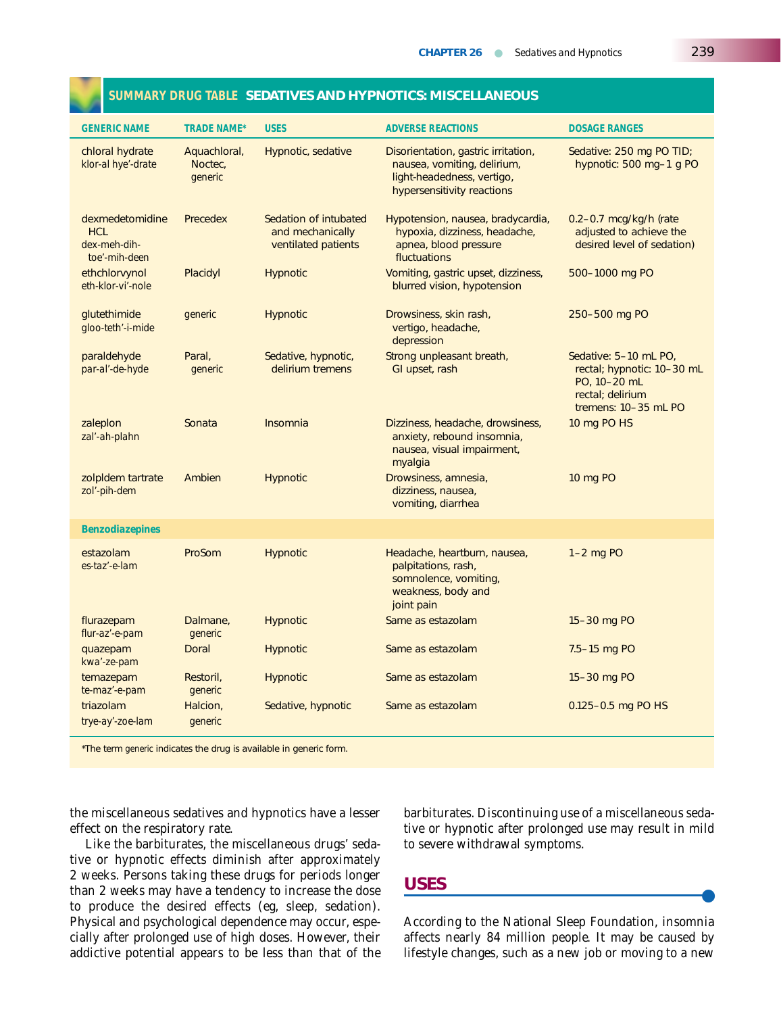#### **SUMMARY DRUG TABLE SEDATIVES AND HYPNOTICS: MISCELLANEOUS**

| <b>GENERIC NAME</b>                                            | <b>TRADE NAME*</b>                 | <b>USES</b>                                                      | <b>ADVERSE REACTIONS</b>                                                                                                       | <b>DOSAGE RANGES</b>                                                                                            |
|----------------------------------------------------------------|------------------------------------|------------------------------------------------------------------|--------------------------------------------------------------------------------------------------------------------------------|-----------------------------------------------------------------------------------------------------------------|
| chloral hydrate<br>klor-al hye'-drate                          | Aquachloral,<br>Noctec,<br>generic | Hypnotic, sedative                                               | Disorientation, gastric irritation,<br>nausea, vomiting, delirium,<br>light-headedness, vertigo,<br>hypersensitivity reactions | Sedative: 250 mg PO TID;<br>hypnotic: 500 mg-1 g PO                                                             |
| dexmedetomidine<br><b>HCL</b><br>dex-meh-dih-<br>toe'-mih-deen | Precedex                           | Sedation of intubated<br>and mechanically<br>ventilated patients | Hypotension, nausea, bradycardia,<br>hypoxia, dizziness, headache,<br>apnea, blood pressure<br>fluctuations                    | 0.2-0.7 mcg/kg/h (rate<br>adjusted to achieve the<br>desired level of sedation)                                 |
| ethchlorvynol<br>eth-klor-vi'-nole                             | Placidyl                           | <b>Hypnotic</b>                                                  | Vomiting, gastric upset, dizziness,<br>blurred vision, hypotension                                                             | 500-1000 mg PO                                                                                                  |
| glutethimide<br>gloo-teth'-i-mide                              | generic                            | <b>Hypnotic</b>                                                  | Drowsiness, skin rash,<br>vertigo, headache,<br>depression                                                                     | 250-500 mg PO                                                                                                   |
| paraldehyde<br>par-al'-de-hyde                                 | Paral,<br>generic                  | Sedative, hypnotic,<br>delirium tremens                          | Strong unpleasant breath,<br>GI upset, rash                                                                                    | Sedative: 5-10 mL PO,<br>rectal; hypnotic: 10-30 mL<br>PO, 10-20 mL<br>rectal; delirium<br>tremens: 10-35 mL PO |
| zaleplon<br>zal'-ah-plahn                                      | Sonata                             | Insomnia                                                         | Dizziness, headache, drowsiness,<br>anxiety, rebound insomnia,<br>nausea, visual impairment,<br>myalgia                        | 10 mg PO HS                                                                                                     |
| zolpidem tartrate<br>zol'-pih-dem                              | Ambien                             | <b>Hypnotic</b>                                                  | Drowsiness, amnesia,<br>dizziness, nausea,<br>vomiting, diarrhea                                                               | 10 mg PO                                                                                                        |
| <b>Benzodiazepines</b>                                         |                                    |                                                                  |                                                                                                                                |                                                                                                                 |
| estazolam<br>es-taz'-e-lam                                     | ProSom                             | <b>Hypnotic</b>                                                  | Headache, heartburn, nausea,<br>palpitations, rash,<br>somnolence, vomiting,<br>weakness, body and<br>joint pain               | $1-2$ mg PO                                                                                                     |
| flurazepam<br>flur-az'-e-pam                                   | Dalmane,<br>generic                | <b>Hypnotic</b>                                                  | Same as estazolam                                                                                                              | 15-30 mg PO                                                                                                     |
| quazepam<br>kwa'-ze-pam                                        | Doral                              | <b>Hypnotic</b>                                                  | Same as estazolam                                                                                                              | 7.5-15 mg PO                                                                                                    |
| temazepam<br>te-maz'-e-pam                                     | Restoril,<br>generic               | <b>Hypnotic</b>                                                  | Same as estazolam                                                                                                              | 15-30 mg PO                                                                                                     |
| triazolam<br>trye-ay'-zoe-lam                                  | Halcion,<br>generic                | Sedative, hypnotic                                               | Same as estazolam                                                                                                              | 0.125-0.5 mg PO HS                                                                                              |

\*The term *generic* indicates the drug is available in generic form.

the miscellaneous sedatives and hypnotics have a lesser effect on the respiratory rate.

Like the barbiturates, the miscellaneous drugs' sedative or hypnotic effects diminish after approximately 2 weeks. Persons taking these drugs for periods longer than 2 weeks may have a tendency to increase the dose to produce the desired effects (eg, sleep, sedation). Physical and psychological dependence may occur, especially after prolonged use of high doses. However, their addictive potential appears to be less than that of the barbiturates. Discontinuing use of a miscellaneous sedative or hypnotic after prolonged use may result in mild to severe withdrawal symptoms.

## —————————————<del>—————</del>

According to the National Sleep Foundation, insomnia affects nearly 84 million people. It may be caused by lifestyle changes, such as a new job or moving to a new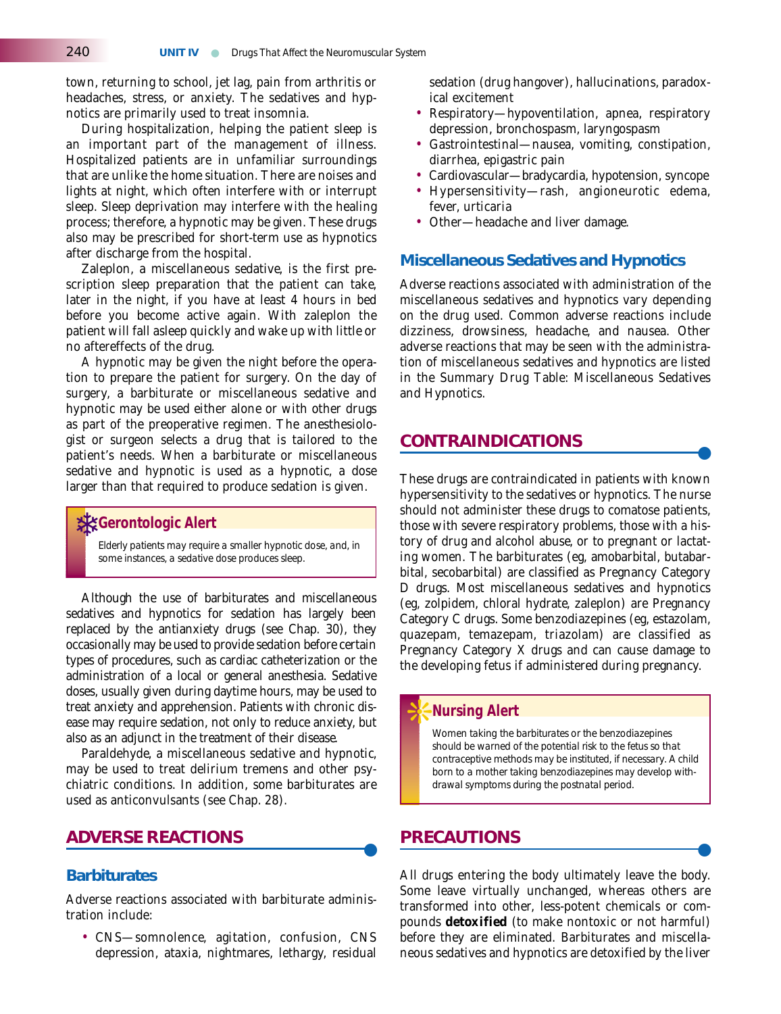town, returning to school, jet lag, pain from arthritis or headaches, stress, or anxiety. The sedatives and hypnotics are primarily used to treat insomnia.

During hospitalization, helping the patient sleep is an important part of the management of illness. Hospitalized patients are in unfamiliar surroundings that are unlike the home situation. There are noises and lights at night, which often interfere with or interrupt sleep. Sleep deprivation may interfere with the healing process; therefore, a hypnotic may be given. These drugs also may be prescribed for short-term use as hypnotics after discharge from the hospital.

Zaleplon, a miscellaneous sedative, is the first prescription sleep preparation that the patient can take, later in the night, if you have at least 4 hours in bed before you become active again. With zaleplon the patient will fall asleep quickly and wake up with little or no aftereffects of the drug.

A hypnotic may be given the night before the operation to prepare the patient for surgery. On the day of surgery, a barbiturate or miscellaneous sedative and hypnotic may be used either alone or with other drugs as part of the preoperative regimen. The anesthesiologist or surgeon selects a drug that is tailored to the patient's needs. When a barbiturate or miscellaneous sedative and hypnotic is used as a hypnotic, a dose larger than that required to produce sedation is given.

#### **Solution** Section of the Section of the Section Alert

*Elderly patients may require a smaller hypnotic dose, and, in some instances, a sedative dose produces sleep.* 

Although the use of barbiturates and miscellaneous sedatives and hypnotics for sedation has largely been replaced by the antianxiety drugs (see Chap. 30), they occasionally may be used to provide sedation before certain types of procedures, such as cardiac catheterization or the administration of a local or general anesthesia. Sedative doses, usually given during daytime hours, may be used to treat anxiety and apprehension. Patients with chronic disease may require sedation, not only to reduce anxiety, but also as an adjunct in the treatment of their disease.

Paraldehyde, a miscellaneous sedative and hypnotic, may be used to treat delirium tremens and other psychiatric conditions. In addition, some barbiturates are used as anticonvulsants (see Chap. 28).

#### **ADVERSE REACTIONS** ●

#### **Barbiturates**

Adverse reactions associated with barbiturate administration include:

• CNS—somnolence, agitation, confusion, CNS depression, ataxia, nightmares, lethargy, residual sedation (drug hangover), hallucinations, paradoxical excitement

- Respiratory—hypoventilation, apnea, respiratory depression, bronchospasm, laryngospasm
- Gastrointestinal—nausea, vomiting, constipation, diarrhea, epigastric pain
- Cardiovascular—bradycardia, hypotension, syncope
- Hypersensitivity—rash, angioneurotic edema, fever, urticaria
- Other—headache and liver damage.

#### **Miscellaneous Sedatives and Hypnotics**

Adverse reactions associated with administration of the miscellaneous sedatives and hypnotics vary depending on the drug used. Common adverse reactions include dizziness, drowsiness, headache, and nausea. Other adverse reactions that may be seen with the administration of miscellaneous sedatives and hypnotics are listed in the Summary Drug Table: Miscellaneous Sedatives and Hypnotics.

#### **CONTRAINDICATIONS** ●

These drugs are contraindicated in patients with known hypersensitivity to the sedatives or hypnotics. The nurse should not administer these drugs to comatose patients, those with severe respiratory problems, those with a history of drug and alcohol abuse, or to pregnant or lactating women. The barbiturates (eg, amobarbital, butabarbital, secobarbital) are classified as Pregnancy Category D drugs. Most miscellaneous sedatives and hypnotics (eg, zolpidem, chloral hydrate, zaleplon) are Pregnancy Category C drugs. Some benzodiazepines (eg, estazolam, quazepam, temazepam, triazolam) are classified as Pregnancy Category X drugs and can cause damage to the developing fetus if administered during pregnancy.

#### ❊**Nursing Alert**

*Women taking the barbiturates or the benzodiazepines should be warned of the potential risk to the fetus so that contraceptive methods may be instituted, if necessary. A child born to a mother taking benzodiazepines may develop withdrawal symptoms during the postnatal period.* 

#### **PRECAUTIONS** ●

All drugs entering the body ultimately leave the body. Some leave virtually unchanged, whereas others are transformed into other, less-potent chemicals or compounds **detoxified** (to make nontoxic or not harmful) before they are eliminated. Barbiturates and miscellaneous sedatives and hypnotics are detoxified by the liver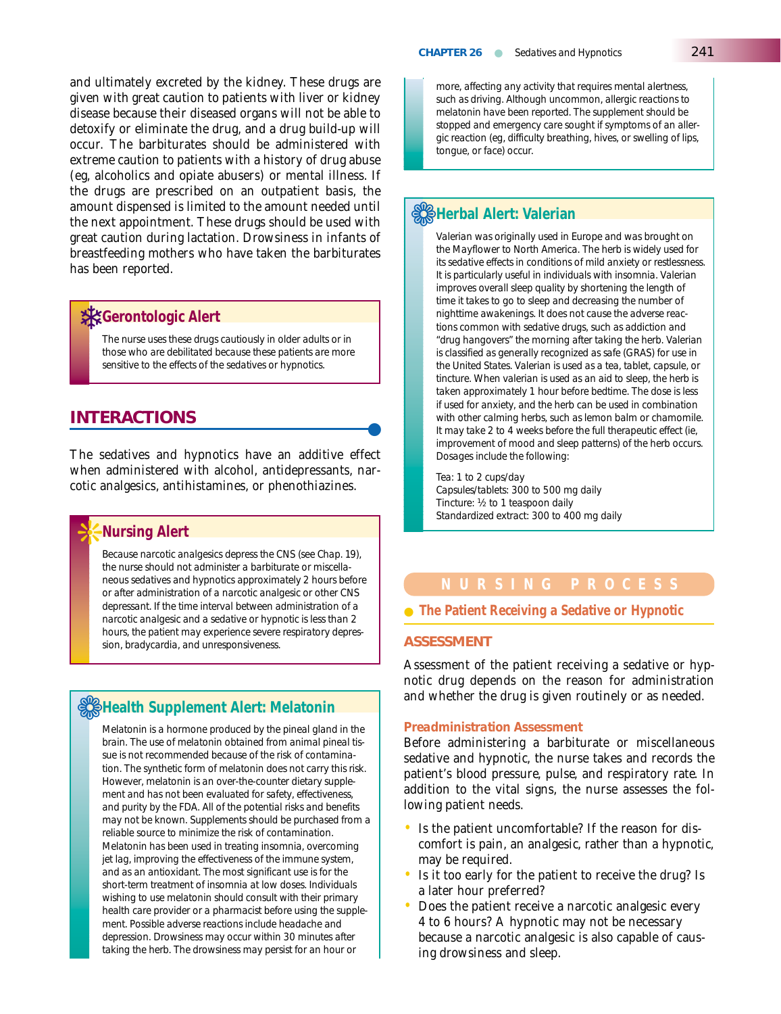and ultimately excreted by the kidney. These drugs are given with great caution to patients with liver or kidney disease because their diseased organs will not be able to detoxify or eliminate the drug, and a drug build-up will occur. The barbiturates should be administered with extreme caution to patients with a history of drug abuse (eg, alcoholics and opiate abusers) or mental illness. If the drugs are prescribed on an outpatient basis, the amount dispensed is limited to the amount needed until the next appointment. These drugs should be used with great caution during lactation. Drowsiness in infants of breastfeeding mothers who have taken the barbiturates has been reported.

#### ❄**Gerontologic Alert**

*The nurse uses these drugs cautiously in older adults or in those who are debilitated because these patients are more sensitive to the effects of the sedatives or hypnotics.* 

#### **INTERACTIONS**

The sedatives and hypnotics have an additive effect when administered with alcohol, antidepressants, narcotic analgesics, antihistamines, or phenothiazines.

#### ❊**Nursing Alert**

*Because narcotic analgesics depress the CNS (see Chap. 19), the nurse should not administer a barbiturate or miscellaneous sedatives and hypnotics approximately 2 hours before or after administration of a narcotic analgesic or other CNS depressant. If the time interval between administration of a narcotic analgesic and a sedative or hypnotic is less than 2 hours, the patient may experience severe respiratory depression, bradycardia, and unresponsiveness.* 

#### ❁**Health Supplement Alert: Melatonin**

*Melatonin is a hormone produced by the pineal gland in the brain. The use of melatonin obtained from animal pineal tissue is not recommended because of the risk of contamination. The synthetic form of melatonin does not carry this risk. However, melatonin is an over-the-counter dietary supplement and has not been evaluated for safety, effectiveness, and purity by the FDA. All of the potential risks and benefits may not be known. Supplements should be purchased from a reliable source to minimize the risk of contamination. Melatonin has been used in treating insomnia, overcoming jet lag, improving the effectiveness of the immune system, and as an antioxidant. The most significant use is for the short-term treatment of insomnia at low doses. Individuals wishing to use melatonin should consult with their primary health care provider or a pharmacist before using the supplement. Possible adverse reactions include headache and depression. Drowsiness may occur within 30 minutes after taking the herb. The drowsiness may persist for an hour or*

*more, affecting any activity that requires mental alertness, such as driving. Although uncommon, allergic reactions to melatonin have been reported. The supplement should be stopped and emergency care sought if symptoms of an allergic reaction (eg, difficulty breathing, hives, or swelling of lips, tongue, or face) occur.* 

#### ❁**Herbal Alert: Valerian**

*Valerian was originally used in Europe and was brought on the Mayflower to North America. The herb is widely used for its sedative effects in conditions of mild anxiety or restlessness. It is particularly useful in individuals with insomnia. Valerian improves overall sleep quality by shortening the length of time it takes to go to sleep and decreasing the number of nighttime awakenings. It does not cause the adverse reactions common with sedative drugs, such as addiction and "drug hangovers" the morning after taking the herb. Valerian is classified as generally recognized as safe (GRAS) for use in the United States. Valerian is used as a tea, tablet, capsule, or tincture. When valerian is used as an aid to sleep, the herb is taken approximately 1 hour before bedtime. The dose is less if used for anxiety, and the herb can be used in combination with other calming herbs, such as lemon balm or chamomile. It may take 2 to 4 weeks before the full therapeutic effect (ie, improvement of mood and sleep patterns) of the herb occurs. Dosages include the following:*

*Tea: 1 to 2 cups/day Capsules/tablets: 300 to 500 mg daily Tincture: 1⁄2 to 1 teaspoon daily Standardized extract: 300 to 400 mg daily* 

#### ● **The Patient Receiving a Sedative or Hypnotic**

#### **ASSESSMENT**

Assessment of the patient receiving a sedative or hypnotic drug depends on the reason for administration and whether the drug is given routinely or as needed.

#### *Preadministration Assessment*

Before administering a barbiturate or miscellaneous sedative and hypnotic, the nurse takes and records the patient's blood pressure, pulse, and respiratory rate. In addition to the vital signs, the nurse assesses the following patient needs.

- Is the patient uncomfortable? If the reason for discomfort is pain, an analgesic, rather than a hypnotic, may be required.
- Is it too early for the patient to receive the drug? Is a later hour preferred?
- Does the patient receive a narcotic analgesic every 4 to 6 hours? A hypnotic may not be necessary because a narcotic analgesic is also capable of causing drowsiness and sleep.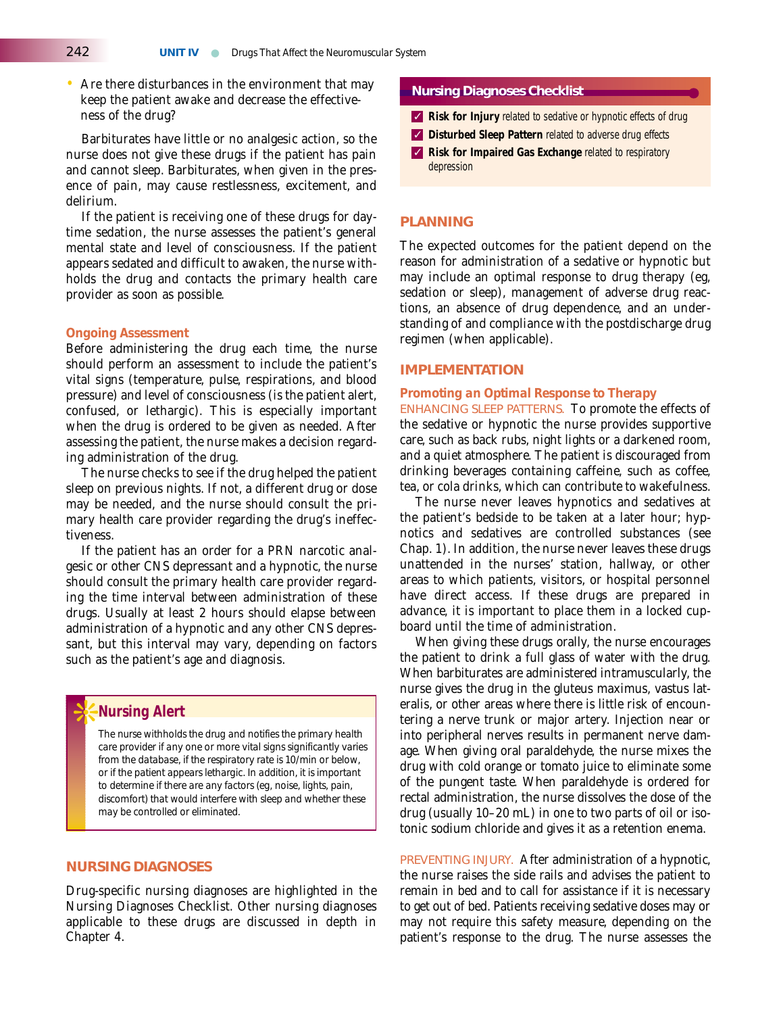• Are there disturbances in the environment that may keep the patient awake and decrease the effectiveness of the drug?

Barbiturates have little or no analgesic action, so the nurse does not give these drugs if the patient has pain and cannot sleep. Barbiturates, when given in the presence of pain, may cause restlessness, excitement, and delirium.

If the patient is receiving one of these drugs for daytime sedation, the nurse assesses the patient's general mental state and level of consciousness. If the patient appears sedated and difficult to awaken, the nurse withholds the drug and contacts the primary health care provider as soon as possible.

#### *Ongoing Assessment*

Before administering the drug each time, the nurse should perform an assessment to include the patient's vital signs (temperature, pulse, respirations, and blood pressure) and level of consciousness (is the patient alert, confused, or lethargic). This is especially important when the drug is ordered to be given as needed. After assessing the patient, the nurse makes a decision regarding administration of the drug.

The nurse checks to see if the drug helped the patient sleep on previous nights. If not, a different drug or dose may be needed, and the nurse should consult the primary health care provider regarding the drug's ineffectiveness.

If the patient has an order for a PRN narcotic analgesic or other CNS depressant and a hypnotic, the nurse should consult the primary health care provider regarding the time interval between administration of these drugs. Usually at least 2 hours should elapse between administration of a hypnotic and any other CNS depressant, but this interval may vary, depending on factors such as the patient's age and diagnosis.

#### ❊**Nursing Alert**

*The nurse withholds the drug and notifies the primary health care provider if any one or more vital signs significantly varies from the database, if the respiratory rate is 10/min or below, or if the patient appears lethargic. In addition, it is important to determine if there are any factors (eg, noise, lights, pain, discomfort) that would interfere with sleep and whether these may be controlled or eliminated.*

#### **NURSING DIAGNOSES**

Drug-specific nursing diagnoses are highlighted in the Nursing Diagnoses Checklist. Other nursing diagnoses applicable to these drugs are discussed in depth in Chapter 4.

#### **Nursing Diagnoses Checklist**

- ✓ **Risk for Injury** related to sedative or hypnotic effects of drug
- ✓ **Disturbed Sleep Pattern** related to adverse drug effects
- **✓ Risk for Impaired Gas Exchange** related to respiratory depression

#### **PLANNING**

The expected outcomes for the patient depend on the reason for administration of a sedative or hypnotic but may include an optimal response to drug therapy (eg, sedation or sleep), management of adverse drug reactions, an absence of drug dependence, and an understanding of and compliance with the postdischarge drug regimen (when applicable).

#### **IMPLEMENTATION**

#### *Promoting an Optimal Response to Therapy*

ENHANCING SLEEP PATTERNS. To promote the effects of the sedative or hypnotic the nurse provides supportive care, such as back rubs, night lights or a darkened room, and a quiet atmosphere. The patient is discouraged from drinking beverages containing caffeine, such as coffee, tea, or cola drinks, which can contribute to wakefulness.

The nurse never leaves hypnotics and sedatives at the patient's bedside to be taken at a later hour; hypnotics and sedatives are controlled substances (see Chap. 1). In addition, the nurse never leaves these drugs unattended in the nurses' station, hallway, or other areas to which patients, visitors, or hospital personnel have direct access. If these drugs are prepared in advance, it is important to place them in a locked cupboard until the time of administration.

When giving these drugs orally, the nurse encourages the patient to drink a full glass of water with the drug. When barbiturates are administered intramuscularly, the nurse gives the drug in the gluteus maximus, vastus lateralis, or other areas where there is little risk of encountering a nerve trunk or major artery. Injection near or into peripheral nerves results in permanent nerve damage. When giving oral paraldehyde, the nurse mixes the drug with cold orange or tomato juice to eliminate some of the pungent taste. When paraldehyde is ordered for rectal administration, the nurse dissolves the dose of the drug (usually 10–20 mL) in one to two parts of oil or isotonic sodium chloride and gives it as a retention enema.

PREVENTING INJURY. After administration of a hypnotic, the nurse raises the side rails and advises the patient to remain in bed and to call for assistance if it is necessary to get out of bed. Patients receiving sedative doses may or may not require this safety measure, depending on the patient's response to the drug. The nurse assesses the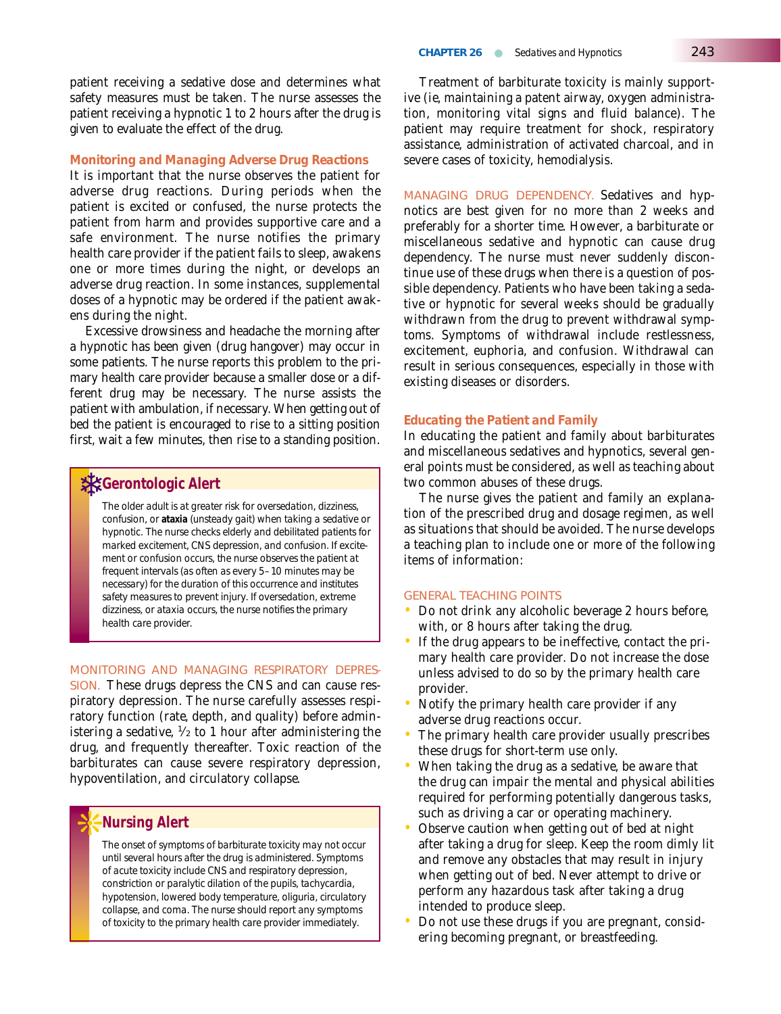patient receiving a sedative dose and determines what safety measures must be taken. The nurse assesses the patient receiving a hypnotic 1 to 2 hours after the drug is given to evaluate the effect of the drug.

#### *Monitoring and Managing Adverse Drug Reactions*

It is important that the nurse observes the patient for adverse drug reactions. During periods when the patient is excited or confused, the nurse protects the patient from harm and provides supportive care and a safe environment. The nurse notifies the primary health care provider if the patient fails to sleep, awakens one or more times during the night, or develops an adverse drug reaction. In some instances, supplemental doses of a hypnotic may be ordered if the patient awakens during the night.

Excessive drowsiness and headache the morning after a hypnotic has been given (drug hangover) may occur in some patients. The nurse reports this problem to the primary health care provider because a smaller dose or a different drug may be necessary. The nurse assists the patient with ambulation, if necessary. When getting out of bed the patient is encouraged to rise to a sitting position first, wait a few minutes, then rise to a standing position.

#### ❄**Gerontologic Alert**

*The older adult is at greater risk for oversedation, dizziness, confusion, or* **ataxia** *(unsteady gait) when taking a sedative or hypnotic. The nurse checks elderly and debilitated patients for marked excitement, CNS depression, and confusion. If excitement or confusion occurs, the nurse observes the patient at frequent intervals (as often as every 5–10 minutes may be necessary) for the duration of this occurrence and institutes safety measures to prevent injury. If oversedation, extreme dizziness, or ataxia occurs, the nurse notifies the primary health care provider.*

MONITORING AND MANAGING RESPIRATORY DEPRES-SION. These drugs depress the CNS and can cause respiratory depression. The nurse carefully assesses respiratory function (rate, depth, and quality) before administering a sedative,  $\frac{1}{2}$  to 1 hour after administering the drug, and frequently thereafter. Toxic reaction of the barbiturates can cause severe respiratory depression, hypoventilation, and circulatory collapse.

#### ❊**Nursing Alert**

*The onset of symptoms of barbiturate toxicity may not occur until several hours after the drug is administered. Symptoms of acute toxicity include CNS and respiratory depression, constriction or paralytic dilation of the pupils, tachycardia, hypotension, lowered body temperature, oliguria, circulatory collapse, and coma. The nurse should report any symptoms of toxicity to the primary health care provider immediately.*

Treatment of barbiturate toxicity is mainly supportive (ie, maintaining a patent airway, oxygen administration, monitoring vital signs and fluid balance). The patient may require treatment for shock, respiratory assistance, administration of activated charcoal, and in severe cases of toxicity, hemodialysis.

MANAGING DRUG DEPENDENCY. Sedatives and hypnotics are best given for no more than 2 weeks and preferably for a shorter time. However, a barbiturate or miscellaneous sedative and hypnotic can cause drug dependency. The nurse must never suddenly discontinue use of these drugs when there is a question of possible dependency. Patients who have been taking a sedative or hypnotic for several weeks should be gradually withdrawn from the drug to prevent withdrawal symptoms. Symptoms of withdrawal include restlessness, excitement, euphoria, and confusion. Withdrawal can result in serious consequences, especially in those with existing diseases or disorders.

#### *Educating the Patient and Family*

In educating the patient and family about barbiturates and miscellaneous sedatives and hypnotics, several general points must be considered, as well as teaching about two common abuses of these drugs.

The nurse gives the patient and family an explanation of the prescribed drug and dosage regimen, as well as situations that should be avoided. The nurse develops a teaching plan to include one or more of the following items of information:

#### GENERAL TEACHING POINTS

- Do not drink any alcoholic beverage 2 hours before, with, or 8 hours after taking the drug.
- If the drug appears to be ineffective, contact the primary health care provider. Do not increase the dose unless advised to do so by the primary health care provider.
- Notify the primary health care provider if any adverse drug reactions occur.
- The primary health care provider usually prescribes these drugs for short-term use only.
- When taking the drug as a sedative, be aware that the drug can impair the mental and physical abilities required for performing potentially dangerous tasks, such as driving a car or operating machinery.
- Observe caution when getting out of bed at night after taking a drug for sleep. Keep the room dimly lit and remove any obstacles that may result in injury when getting out of bed. Never attempt to drive or perform any hazardous task after taking a drug intended to produce sleep.
- Do not use these drugs if you are pregnant, considering becoming pregnant, or breastfeeding.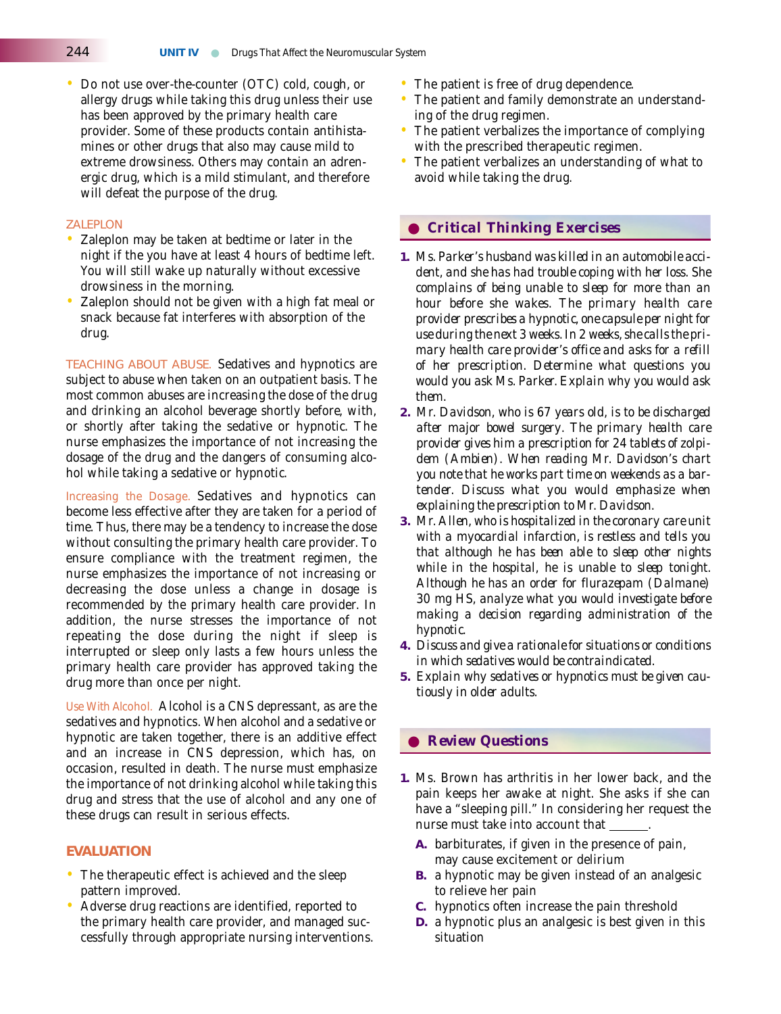• Do not use over-the-counter (OTC) cold, cough, or allergy drugs while taking this drug unless their use has been approved by the primary health care provider. Some of these products contain antihistamines or other drugs that also may cause mild to extreme drowsiness. Others may contain an adrenergic drug, which is a mild stimulant, and therefore will defeat the purpose of the drug.

#### ZALEPLON

- Zaleplon may be taken at bedtime or later in the night if the you have at least 4 hours of bedtime left. You will still wake up naturally without excessive drowsiness in the morning.
- Zaleplon should not be given with a high fat meal or snack because fat interferes with absorption of the drug.

TEACHING ABOUT ABUSE. Sedatives and hypnotics are subject to abuse when taken on an outpatient basis. The most common abuses are increasing the dose of the drug and drinking an alcohol beverage shortly before, with, or shortly after taking the sedative or hypnotic. The nurse emphasizes the importance of not increasing the dosage of the drug and the dangers of consuming alcohol while taking a sedative or hypnotic.

*Increasing the Dosage.* Sedatives and hypnotics can become less effective after they are taken for a period of time. Thus, there may be a tendency to increase the dose without consulting the primary health care provider. To ensure compliance with the treatment regimen, the nurse emphasizes the importance of not increasing or decreasing the dose unless a change in dosage is recommended by the primary health care provider. In addition, the nurse stresses the importance of not repeating the dose during the night if sleep is interrupted or sleep only lasts a few hours unless the primary health care provider has approved taking the drug more than once per night.

*Use With Alcohol.* Alcohol is a CNS depressant, as are the sedatives and hypnotics. When alcohol and a sedative or hypnotic are taken together, there is an additive effect and an increase in CNS depression, which has, on occasion, resulted in death. The nurse must emphasize the importance of not drinking alcohol while taking this drug and stress that the use of alcohol and any one of these drugs can result in serious effects.

#### **EVALUATION**

- The therapeutic effect is achieved and the sleep pattern improved.
- Adverse drug reactions are identified, reported to the primary health care provider, and managed successfully through appropriate nursing interventions.
- The patient is free of drug dependence.
- The patient and family demonstrate an understanding of the drug regimen.
- The patient verbalizes the importance of complying with the prescribed therapeutic regimen.
- The patient verbalizes an understanding of what to avoid while taking the drug.

#### ● *Critical Thinking Exercises*

- **1.** *Ms. Parker's husband was killed in an automobile accident, and she has had trouble coping with her loss. She complains of being unable to sleep for more than an hour before she wakes. The primary health care provider prescribes a hypnotic, one capsule per night for use during the next 3 weeks. In 2 weeks, she calls the primary health care provider's office and asks for a refill of her prescription. Determine what questions you would you ask Ms. Parker. Explain why you would ask them.*
- **2.** *Mr. Davidson, who is 67 years old, is to be discharged after major bowel surgery. The primary health care provider gives him a prescription for 24 tablets of zolpidem (Ambien). When reading Mr. Davidson's chart you note that he works part time on weekends as a bartender. Discuss what you would emphasize when explaining the prescription to Mr. Davidson.*
- **3.** *Mr. Allen, who is hospitalized in the coronary care unit with a myocardial infarction, is restless and tells you that although he has been able to sleep other nights while in the hospital, he is unable to sleep tonight. Although he has an order for flurazepam (Dalmane) 30 mg HS, analyze what you would investigate before making a decision regarding administration of the hypnotic.*
- **4.** *Discuss and give a rationale for situations or conditions in which sedatives would be contraindicated.*
- **5.** *Explain why sedatives or hypnotics must be given cautiously in older adults.*

#### ● *Review Questions*

- **1.** Ms. Brown has arthritis in her lower back, and the pain keeps her awake at night. She asks if she can have a "sleeping pill." In considering her request the nurse must take into account that .
	- **A.** barbiturates, if given in the presence of pain, may cause excitement or delirium
	- **B.** a hypnotic may be given instead of an analgesic to relieve her pain
	- **C.** hypnotics often increase the pain threshold
	- **D.** a hypnotic plus an analgesic is best given in this situation